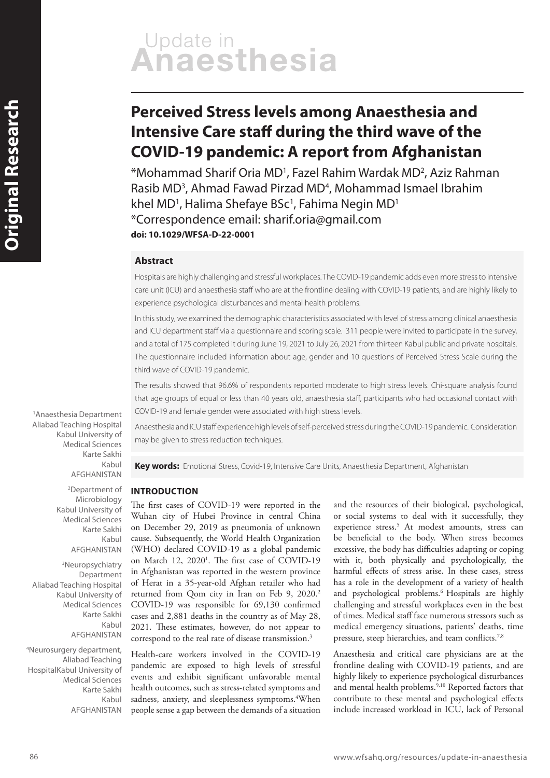# Update in<br>**Anaesthesia**

# **Perceived Stress levels among Anaesthesia and Intensive Care staff during the third wave of the COVID-19 pandemic: A report from Afghanistan**

\*Mohammad Sharif Oria MD1 , Fazel Rahim Wardak MD2 , Aziz Rahman Rasib MD<sup>3</sup>, Ahmad Fawad Pirzad MD<sup>4</sup>, Mohammad Ismael Ibrahim khel MD<sup>1</sup>, Halima Shefaye BSc<sup>1</sup>, Fahima Negin MD<sup>1</sup> \*Correspondence email: sharif.oria@gmail.com **doi: 10.1029/WFSA-D-22-0001**

#### **Abstract**

Hospitals are highly challenging and stressful workplaces. The COVID-19 pandemic adds even more stress to intensive care unit (ICU) and anaesthesia staff who are at the frontline dealing with COVID-19 patients, and are highly likely to experience psychological disturbances and mental health problems.

In this study, we examined the demographic characteristics associated with level of stress among clinical anaesthesia and ICU department staff via a questionnaire and scoring scale. 311 people were invited to participate in the survey, and a total of 175 completed it during June 19, 2021 to July 26, 2021 from thirteen Kabul public and private hospitals. The questionnaire included information about age, gender and 10 questions of Perceived Stress Scale during the third wave of COVID-19 pandemic.

The results showed that 96.6% of respondents reported moderate to high stress levels. Chi-square analysis found that age groups of equal or less than 40 years old, anaesthesia staff, participants who had occasional contact with COVID-19 and female gender were associated with high stress levels.

Anaesthesia and ICU staff experience high levels of self-perceived stress during the COVID-19 pandemic. Consideration may be given to stress reduction techniques.

**Key words:** Emotional Stress, Covid-19, Intensive Care Units, Anaesthesia Department, Afghanistan

#### **INTRODUCTION**

The first cases of COVID-19 were reported in the Wuhan city of Hubei Province in central China on December 29, 2019 as pneumonia of unknown cause. Subsequently, the World Health Organization (WHO) declared COVID-19 as a global pandemic on March 12, 2020<sup>1</sup>. The first case of COVID-19 in Afghanistan was reported in the western province of Herat in a 35-year-old Afghan retailer who had returned from Qom city in Iran on Feb 9, 2020.2 COVID-19 was responsible for 69,130 confirmed cases and 2,881 deaths in the country as of May 28, 2021. These estimates, however, do not appear to correspond to the real rate of disease transmission.3

Health-care workers involved in the COVID-19 pandemic are exposed to high levels of stressful events and exhibit significant unfavorable mental health outcomes, such as stress-related symptoms and sadness, anxiety, and sleeplessness symptoms.<sup>4</sup>When people sense a gap between the demands of a situation

and the resources of their biological, psychological, or social systems to deal with it successfully, they experience stress.<sup>5</sup> At modest amounts, stress can be beneficial to the body. When stress becomes excessive, the body has difficulties adapting or coping with it, both physically and psychologically, the harmful effects of stress arise. In these cases, stress has a role in the development of a variety of health and psychological problems.6 Hospitals are highly challenging and stressful workplaces even in the best of times. Medical staff face numerous stressors such as medical emergency situations, patients' deaths, time pressure, steep hierarchies, and team conflicts.<sup>7,8</sup>

Anaesthesia and critical care physicians are at the frontline dealing with COVID-19 patients, and are highly likely to experience psychological disturbances and mental health problems.<sup>9,10</sup> Reported factors that contribute to these mental and psychological effects include increased workload in ICU, lack of Personal

1 Anaesthesia Department Aliabad Teaching Hospital Kabul University of Medical Sciences Karte Sakhi Kabul AFGHANISTAN

> 2 Department of Microbiology Kabul University of Medical Sciences Karte Sakhi Kabul AFGHANISTAN

3 Neuropsychiatry Department Aliabad Teaching Hospital Kabul University of Medical Sciences Karte Sakhi Kabul AFGHANISTAN

4 Neurosurgery department, Aliabad Teaching HospitalKabul University of Medical Sciences Karte Sakhi Kabul AFGHANISTAN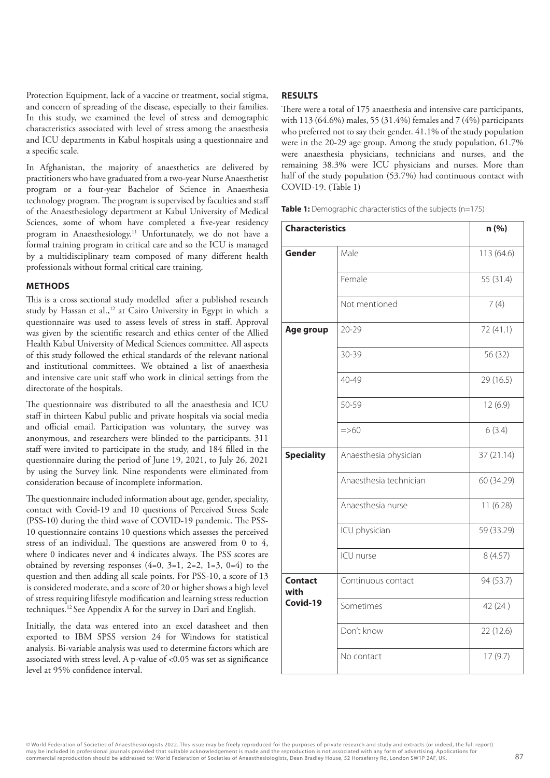Protection Equipment, lack of a vaccine or treatment, social stigma, and concern of spreading of the disease, especially to their families. In this study, we examined the level of stress and demographic characteristics associated with level of stress among the anaesthesia and ICU departments in Kabul hospitals using a questionnaire and a specific scale.

In Afghanistan, the majority of anaesthetics are delivered by practitioners who have graduated from a two-year Nurse Anaesthetist program or a four-year Bachelor of Science in Anaesthesia technology program. The program is supervised by faculties and staff of the Anaesthesiology department at Kabul University of Medical Sciences, some of whom have completed a five-year residency program in Anaesthesiology.11 Unfortunately, we do not have a formal training program in critical care and so the ICU is managed by a multidisciplinary team composed of many different health professionals without formal critical care training.

#### **METHODS**

This is a cross sectional study modelled after a published research study by Hassan et al.,<sup>12</sup> at Cairo University in Egypt in which a questionnaire was used to assess levels of stress in staff. Approval was given by the scientific research and ethics center of the Allied Health Kabul University of Medical Sciences committee. All aspects of this study followed the ethical standards of the relevant national and institutional committees. We obtained a list of anaesthesia and intensive care unit staff who work in clinical settings from the directorate of the hospitals.

The questionnaire was distributed to all the anaesthesia and ICU staff in thirteen Kabul public and private hospitals via social media and official email. Participation was voluntary, the survey was anonymous, and researchers were blinded to the participants. 311 staff were invited to participate in the study, and 184 filled in the questionnaire during the period of June 19, 2021, to July 26, 2021 by using the Survey link. Nine respondents were eliminated from consideration because of incomplete information.

The questionnaire included information about age, gender, speciality, contact with Covid-19 and 10 questions of Perceived Stress Scale (PSS-10) during the third wave of COVID-19 pandemic. The PSS-10 questionnaire contains 10 questions which assesses the perceived stress of an individual. The questions are answered from 0 to 4, where 0 indicates never and 4 indicates always. The PSS scores are obtained by reversing responses  $(4=0, 3=1, 2=2, 1=3, 0=4)$  to the question and then adding all scale points. For PSS-10, a score of 13 is considered moderate, and a score of 20 or higher shows a high level of stress requiring lifestyle modification and learning stress reduction techniques.12 See Appendix A for the survey in Dari and English.

Initially, the data was entered into an excel datasheet and then exported to IBM SPSS version 24 for Windows for statistical analysis. Bi-variable analysis was used to determine factors which are associated with stress level. A p-value of <0.05 was set as significance level at 95% confidence interval.

#### **RESULTS**

There were a total of 175 anaesthesia and intensive care participants, with 113 (64.6%) males, 55 (31.4%) females and 7 (4%) participants who preferred not to say their gender. 41.1% of the study population were in the 20-29 age group. Among the study population, 61.7% were anaesthesia physicians, technicians and nurses, and the remaining 38.3% were ICU physicians and nurses. More than half of the study population (53.7%) had continuous contact with COVID-19. (Table 1)

**Table 1:** Demographic characteristics of the subjects (n=175)

| <b>Characteristics</b>             |                        | n (%)      |
|------------------------------------|------------------------|------------|
| Gender                             | Male                   | 113 (64.6) |
|                                    | Female                 | 55 (31.4)  |
|                                    | Not mentioned          | 7(4)       |
| Age group                          | $20 - 29$              | 72 (41.1)  |
|                                    | 30-39                  | 56 (32)    |
|                                    | 40-49                  | 29 (16.5)  |
|                                    | 50-59                  | 12(6.9)    |
|                                    | $=$ >60                | 6(3.4)     |
| <b>Speciality</b>                  | Anaesthesia physician  | 37(21.14)  |
|                                    | Anaesthesia technician | 60 (34.29) |
|                                    | Anaesthesia nurse      | 11(6.28)   |
|                                    | ICU physician          | 59 (33.29) |
|                                    | ICU nurse              | 8(4.57)    |
| <b>Contact</b><br>with<br>Covid-19 | Continuous contact     | 94 (53.7)  |
|                                    | Sometimes              | 42 (24)    |
|                                    | Don't know             | 22(12.6)   |
|                                    | No contact             | 17(9.7)    |

© World Federation of Societies of Anaesthesiologists 2022. This issue may be freely reproduced for the purposes of private research and study and extracts (or indeed, the full report) may be included in professional journals provided that suitable acknowledgement is made and the reproduction is not associated with any form of advertising. Applications for<br>commercial reproduction should be addressed to: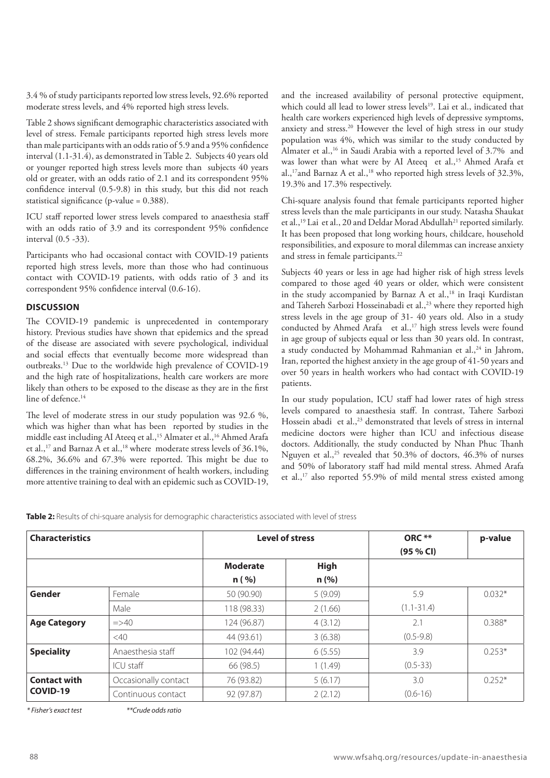3.4 % of study participants reported low stress levels, 92.6% reported moderate stress levels, and 4% reported high stress levels.

Table 2 shows significant demographic characteristics associated with level of stress. Female participants reported high stress levels more than male participants with an odds ratio of 5.9 and a 95% confidence interval (1.1-31.4), as demonstrated in Table 2. Subjects 40 years old or younger reported high stress levels more than subjects 40 years old or greater, with an odds ratio of 2.1 and its correspondent 95% confidence interval (0.5-9.8) in this study, but this did not reach statistical significance (p-value = 0.388).

ICU staff reported lower stress levels compared to anaesthesia staff with an odds ratio of 3.9 and its correspondent 95% confidence interval (0.5 -33).

Participants who had occasional contact with COVID-19 patients reported high stress levels, more than those who had continuous contact with COVID-19 patients, with odds ratio of 3 and its correspondent 95% confidence interval (0.6-16).

#### **DISCUSSION**

The COVID-19 pandemic is unprecedented in contemporary history. Previous studies have shown that epidemics and the spread of the disease are associated with severe psychological, individual and social effects that eventually become more widespread than outbreaks.13 Due to the worldwide high prevalence of COVID-19 and the high rate of hospitalizations, health care workers are more likely than others to be exposed to the disease as they are in the first line of defence.<sup>14</sup>

The level of moderate stress in our study population was 92.6 %, which was higher than what has been reported by studies in the middle east including AI Ateeq et al.,<sup>15</sup> Almater et al.,<sup>16</sup> Ahmed Arafa et al.,<sup>17</sup> and Barnaz A et al.,<sup>18</sup> where moderate stress levels of 36.1%, 68.2%, 36.6% and 67.3% were reported. This might be due to differences in the training environment of health workers, including more attentive training to deal with an epidemic such as COVID-19, and the increased availability of personal protective equipment, which could all lead to lower stress levels<sup>19</sup>. Lai et al., indicated that health care workers experienced high levels of depressive symptoms, anxiety and stress.20 However the level of high stress in our study population was 4%, which was similar to the study conducted by Almater et al.,<sup>16</sup> in Saudi Arabia with a reported level of 3.7% and was lower than what were by AI Ateeq et al.,<sup>15</sup> Ahmed Arafa et al.,<sup>17</sup> and Barnaz A et al.,<sup>18</sup> who reported high stress levels of 32.3%, 19.3% and 17.3% respectively.

Chi-square analysis found that female participants reported higher stress levels than the male participants in our study. Natasha Shaukat et al.,<sup>19</sup> Lai et al., 20 and Deldar Morad Abdullah<sup>21</sup> reported similarly. It has been proposed that long working hours, childcare, household responsibilities, and exposure to moral dilemmas can increase anxiety and stress in female participants.<sup>22</sup>

Subjects 40 years or less in age had higher risk of high stress levels compared to those aged 40 years or older, which were consistent in the study accompanied by Barnaz A et al.,<sup>18</sup> in Iraqi Kurdistan and Tahereh Sarbozi Hosseinabadi et al.,<sup>23</sup> where they reported high stress levels in the age group of 31- 40 years old. Also in a study conducted by Ahmed Arafa et al.,<sup>17</sup> high stress levels were found in age group of subjects equal or less than 30 years old. In contrast, a study conducted by Mohammad Rahmanian et al., $^{24}$  in Jahrom, Iran, reported the highest anxiety in the age group of 41-50 years and over 50 years in health workers who had contact with COVID-19 patients.

In our study population, ICU staff had lower rates of high stress levels compared to anaesthesia staff. In contrast, Tahere Sarbozi Hossein abadi et al.,<sup>23</sup> demonstrated that levels of stress in internal medicine doctors were higher than ICU and infectious disease doctors. Additionally, the study conducted by Nhan Phuc Thanh Nguyen et al.,<sup>25</sup> revealed that 50.3% of doctors,  $46.3\%$  of nurses and 50% of laboratory staff had mild mental stress. Ahmed Arafa et al.,17 also reported 55.9% of mild mental stress existed among

Table 2: Results of chi-square analysis for demographic characteristics associated with level of stress

| <b>Characteristics</b>          |                      | <b>Level of stress</b> |             | ORC **<br>(95 % CI) | p-value  |
|---------------------------------|----------------------|------------------------|-------------|---------------------|----------|
|                                 |                      | <b>Moderate</b>        | <b>High</b> |                     |          |
|                                 |                      | n ( %)                 | n(%)        |                     |          |
| Gender                          | Female               | 50 (90.90)             | 5(9.09)     | 5.9                 | $0.032*$ |
|                                 | Male                 | 118 (98.33)            | 2(1.66)     | $(1.1 - 31.4)$      |          |
| <b>Age Category</b>             | $\Rightarrow$ 40     | 124 (96.87)            | 4(3.12)     | 2.1                 | $0.388*$ |
|                                 | <40                  | 44 (93.61)             | 3(6.38)     | $(0.5 - 9.8)$       |          |
| <b>Speciality</b>               | Anaesthesia staff    | 102 (94.44)            | 6(5.55)     | 3.9                 | $0.253*$ |
|                                 | ICU staff            | 66 (98.5)              | 1(1.49)     | $(0.5 - 33)$        |          |
| <b>Contact with</b><br>COVID-19 | Occasionally contact | 76 (93.82)             | 5(6.17)     | 3.0                 | $0.252*$ |
|                                 | Continuous contact   | 92 (97.87)             | 2(2.12)     | $(0.6 - 16)$        |          |

*<sup>\*</sup> Fisher's exact test \*\*Crude odds ratio*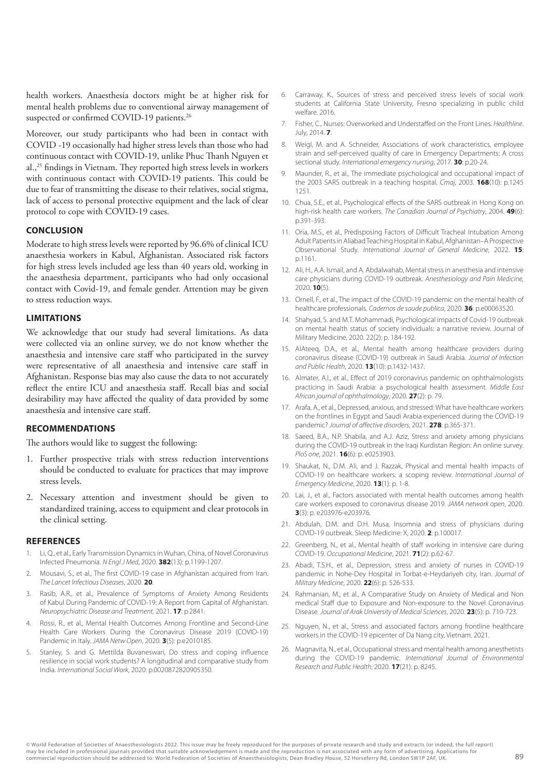health workers. Anaesthesia doctors might be at higher risk for mental health problems due to conventional airway management of suspected or confirmed COVID-19 patients.<sup>26</sup>

Moreover, our study participants who had been in contact with COVID -19 occasionally had higher stress levels than those who had continuous contact with COVID-19, unlike Phuc Thanh Nguyen et al.,25 findings in Vietnam. They reported high stress levels in workers with continuous contact with COVID-19 patients. This could be due to fear of transmitting the disease to their relatives, social stigma, lack of access to personal protective equipment and the lack of clear protocol to cope with COVID-19 cases.

#### **CONCLUSION**

Moderate to high stress levels were reported by 96.6% of clinical ICU anaesthesia workers in Kabul, Afghanistan. Associated risk factors for high stress levels included age less than 40 years old, working in the anaesthesia department, participants who had only occasional contact with Covid-19, and female gender. Attention may be given to stress reduction ways.

#### **LIMITATIONS**

We acknowledge that our study had several limitations. As data were collected via an online survey, we do not know whether the anaesthesia and intensive care staff who participated in the survey were representative of all anaesthesia and intensive care staff in Afghanistan. Response bias may also cause the data to not accurately reflect the entire ICU and anaesthesia staff. Recall bias and social desirability may have affected the quality of data provided by some anaesthesia and intensive care staff.

#### **RECOMMENDATIONS**

The authors would like to suggest the following:

- 1. Further prospective trials with stress reduction interventions should be conducted to evaluate for practices that may improve stress levels.
- 2. Necessary attention and investment should be given to standardized training, access to equipment and clear protocols in the clinical setting.

#### **REFERENCES**

- 1. Li, Q., et al., Early Transmission Dynamics in Wuhan, China, of Novel Coronavirus Infected Pneumonia. *N Engl J Med*, 2020. **382**(13): p.1199-1207.
- 2. Mousavi, S., et al., The first COVID-19 case in Afghanistan acquired from Iran. *The Lancet Infectious Diseases*, 2020. **20**.
- Rasib, A.R., et al., Prevalence of Symptoms of Anxiety Among Residents of Kabul During Pandemic of COVID-19: A Report from Capital of Afghanistan. *Neuropsychiatric Disease and Treatment,* 2021. **17**: p.2841.
- 4. Rossi, R., et al., Mental Health Outcomes Among Frontline and Second-Line Health Care Workers During the Coronavirus Disease 2019 (COVID-19) Pandemic in Italy. *JAMA Netw Open*, 2020. **3**(5): p.e2010185.
- 5. Stanley, S. and G. Mettilda Buvaneswari, Do stress and coping influence resilience in social work students? A longitudinal and comparative study from India. *International Social Work*, 2020: p.0020872820905350.
- 6. Carraway, K., Sources of stress and perceived stress levels of social work students at California State University, Fresno specializing in public child welfare. 2016.
- 7. Fisher, C., Nurses: Overworked and Understaffed on the Front Lines. *Healthline*. July, 2014. **7**.
- 8. Weigl, M. and A. Schneider, Associations of work characteristics, employee strain and self-perceived quality of care in Emergency Departments: A cross sectional study. *International emergency nursing*, 2017. **30**: p.20-24.
- 9. Maunder, R., et al., The immediate psychological and occupational impact of the 2003 SARS outbreak in a teaching hospital. *Cmaj*, 2003. **168**(10): p.1245 1251.
- 10. Chua, S.E., et al., Psychological effects of the SARS outbreak in Hong Kong on high-risk health care workers. *The Canadian Journal of Psychiatry*, 2004. **49**(6): p.391-393.
- 11. Oria, M.S., et al., Predisposing Factors of Difficult Tracheal Intubation Among Adult Patients in Aliabad Teaching Hospital in Kabul, Afghanistan–A Prospective Observational Study. *International Journal of General Medicine*, 2022. **15**: p.1161.
- 12. Ali, H., A.A. Ismail, and A. Abdalwahab, Mental stress in anesthesia and intensive care physicians during COVID-19 outbreak. *Anesthesiology and Pain Medicine,* 2020. **10**(5).
- 13. Ornell, F., et al., The impact of the COVID-19 pandemic on the mental health of healthcare professionals. *Cadernos de saude publica*, 2020. **36**: p.e00063520.
- 14. Shahyad, S. and M.T. Mohammadi, Psychological impacts of Covid-19 outbreak on mental health status of society individuals: a narrative review. Journal of Military Medicine, 2020. 22(2): p. 184-192.
- 15. AlAteeq, D.A., et al., Mental health among healthcare providers during coronavirus disease (COVID-19) outbreak in Saudi Arabia. *Journal of Infection and Public Health*, 2020. **13**(10): p.1432-1437.
- 16. Almater, A.I., et al., Effect of 2019 coronavirus pandemic on ophthalmologists practicing in Saudi Arabia: a psychological health assessment. *Middle East African journal of ophthalmology*, 2020. **27**(2): p. 79.
- 17. Arafa, A., et al., Depressed, anxious, and stressed: What have healthcare workers on the frontlines in Egypt and Saudi Arabia experienced during the COVID-19 pandemic? *Journal of affective disorders*, 2021. **278**: p.365-371.
- 18. Saeed, B.A., N.P. Shabila, and A.J. Aziz, Stress and anxiety among physicians during the COVID-19 outbreak in the Iraqi Kurdistan Region: An online survey. *PloS one*, 2021. **16**(6): p. e0253903.
- 19. Shaukat, N., D.M. Ali, and J. Razzak, Physical and mental health impacts of COVID-19 on healthcare workers: a scoping review. *International Journal of Emergency Medicine*, 2020. **13**(1): p. 1-8.
- 20. Lai, J., et al., Factors associated with mental health outcomes among health care workers exposed to coronavirus disease 2019. *JAMA network open*, 2020. **3**(3): p. e203976-e203976.
- 21. Abdulah, D.M. and D.H. Musa, Insomnia and stress of physicians during COVID-19 outbreak. Sleep Medicine: X, 2020. **2**: p.100017.
- 22. Greenberg, N., et al., Mental health of staff working in intensive care during COVID-19. *Occupational Medicine*, 2021. **71**(2): p.62-67.
- 23. Abadi, T.S.H., et al., Depression, stress and anxiety of nurses in COVID-19 pandemic in Nohe-Dey Hospital in Torbat-e-Heydariyeh city, Iran. *Journal of Military Medicine*, 2020. **22**(6): p. 526-533.
- 24. Rahmanian, M., et al., A Comparative Study on Anxiety of Medical and Non medical Staff due to Exposure and Non-exposure to the Novel Coronavirus Disease. *Journal of Arak University of Medical Sciences*, 2020. **23**(5): p. 710-723.
- 25. Nguyen, N., et al., Stress and associated factors among frontline healthcare workers in the COVID-19 epicenter of Da Nang city, Vietnam. 2021.
- 26. Magnavita, N., et al., Occupational stress and mental health among anesthetists during the COVID-19 pandemic. *International Journal of Environmental Research and Public Health*, 2020. **17**(21): p. 8245.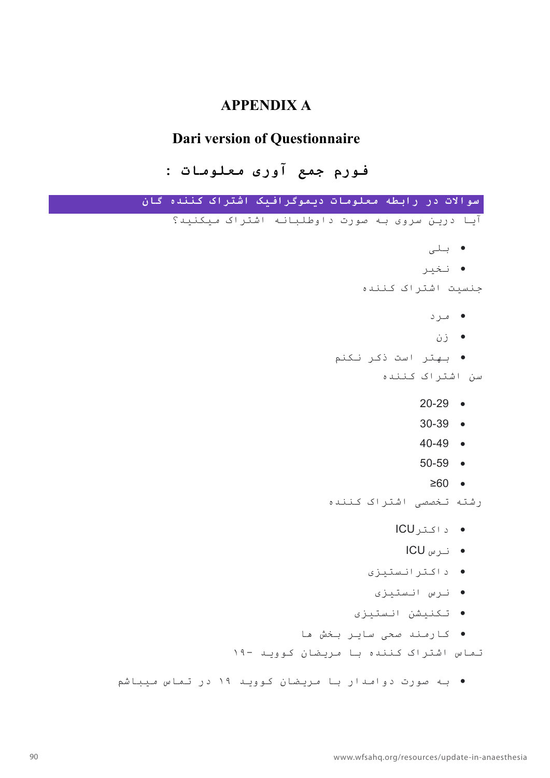# **APPENDIX A**

# **Dari version of Questionnaire**

**مروف عمج یروآ تامولعم :** 

| سوالات در رابطه معلومات دیموگرافیک اشتراک کننده گان |           |
|-----------------------------------------------------|-----------|
| آیا درین سروی به صورت داوطلبانه اشتراک میکنید؟      |           |
| ● بلی                                               |           |
| • نخیر                                              |           |
| جنسیت اشتراک کننده                                  |           |
| • مرد                                               |           |
| ● زن                                                |           |
| ● بهتر است ذکر نکنم                                 |           |
| سن اشتراک کننده                                     |           |
| $20-29$ $\bullet$                                   |           |
| $30 - 39$ $\bullet$                                 |           |
| $40-49$ •                                           |           |
| $50 - 59$ •                                         |           |
| $≥60$ •                                             |           |
| رشته تخصصی اشتراک کننده                             |           |
| • د اکتر ICU                                        |           |
| ● نرس ICU                                           |           |
| د اکتر انستیزی                                      | $\bullet$ |
| نرس انستيزى                                         |           |
| • تكنيشن انستيزى                                    |           |
| ● كارمند صحى ساير بخش ها                            |           |
| تماس اشتراک کننده با مریضان کووید -١٩               |           |
| ● به صورت دوامدار با مریضان کووید ۱۹ در تماس میباشم |           |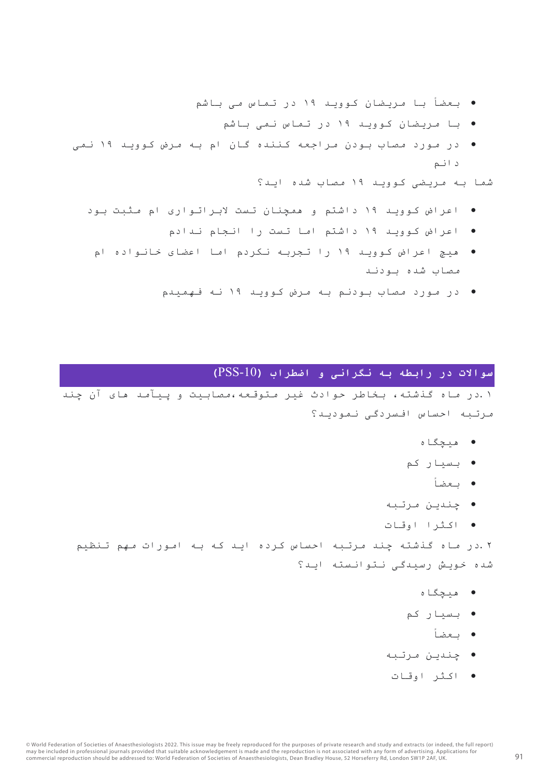- بعضاً با مریضان کووید ١٩ در تماس می باشم
	- با مریضان کووید ١٩ در تماس نمی باشم
- در مورد مصاب بودن مراجعه کننده گان ام به مرض کووید ١٩ نمی د انم

شما به مریضی کووید ١٩ مصاب شده اید؟

- اعراض کووید ١٩ داشتم و همچنان تست لابراتواری ام مثبت بود
	- اعراض کووید ١٩ داشتم اما تست را انجام ندادم
	- هیچ اعراض کووید ١٩ را تجربه نکردم اما اعضای خانواده ام مصاب شده بودند
		- ادر مورد مصاب بودنم به مرض کووپد ١٩ نه فهمبدم

### **تلااوس رد ھطبار ھب ینارگن و بارطضا (**-10PSS**(**

١.در ماه گذشته، بخاطر حوادث غیر متوقعه،مصابیت و ییآمد های آن چند مرتبه احساس افسردگی نمودید؟

- هاگچیھ
- بسیار کم
	- بعضاً
- چندین مرتبه
- ارثکا تاقوا

٢ .در ماه گذشته چند مرتبه احساس کرده اید که به امورات مهم تنظیم شده خویش رسیدگی نتوانسته اید؟

- هاگچیھ
- بسیار کم
	- بعضاً
- چندین مرتبه
- رثکا تاقوا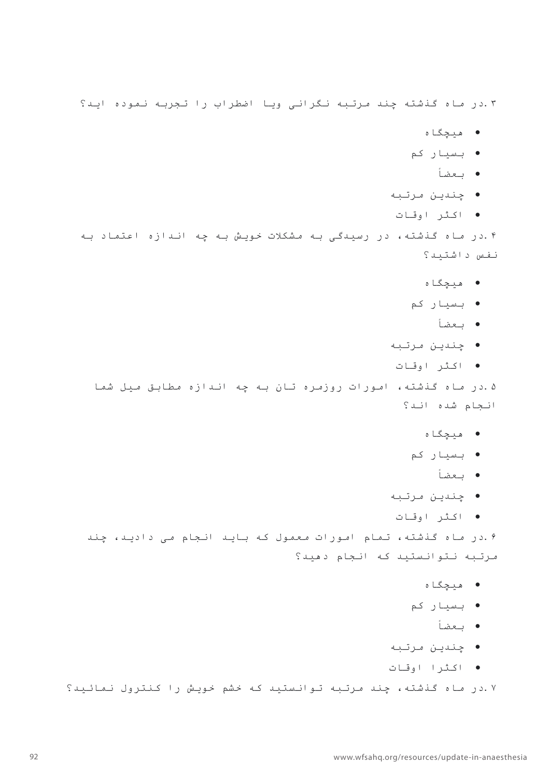٣.در ماه گذشته چند مرتبه نگرانی ویا اضطراب را تجربه نموده اید؟

- هاگچیھ
- بسیار کم
	- بعضاً
- چندین مرتبه
- رثکا تاقوا

۰.۴در ماه گذشته، در رسیدگی به مشکلات خویش به چه اندازه اعتماد به نفس داشتید؟

- هیچگاه
- بسیار کم
	- بعضاً
- چندین مرتبه
- اکثر اوقات

۵ .در ماه گذشته، امورات روزمره تان به چه اندازه مطابق میل شما انجام شده اند؟

- میچگاه
- بسیار کم
	- بعضاً
- يندين مرتبه
- رثکا تاقوا

۰.در ماه گذشته، تمام امورات معمول که باید انجام می دادید، چند مرتبه نتوانستید که انجام دهید؟

- میچگاه
- بسیار کم
	- بعضاً
- چندین مرتبه
- ارثکا تاقوا

٧ .در ماه گذشته، چند مرتبه توانستید که خشم خویش را کنترول نمائید؟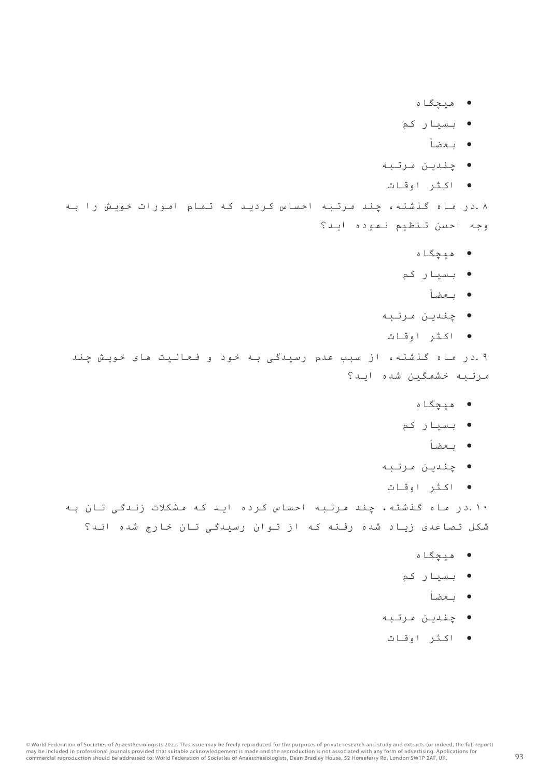- میچگاه
- بسیار کم
	- بعضاً
- چندین مرتبه
- رثکا تاقوا

٨.در ماه گذشته، چند مرتبه احساس کردید که تمام امورات خویش را به وجه احسن تنظیم نموده اید؟

- هاگچیھ
- بسیار کم
	- بعضاً
- يندين مرتبه
- رثکا تاقوا

۹ .در ماه گذشته، از سبب عدم رسیدگی به خود و فعالیت های خویش چند مرتبه خشمگین شده اید؟

- هاگچیھ
- بسیار کم
	- بعضاً
- چندین مرتبه
- رثکا تاقوا

١٠.در ماه گذشته، چند مرتبه احساس کرده اید که مشکلات زندگی تان به شکل تصاعدی زیاد شده رفته که از توان رسیدگی تان خارج شده اند؟

- هاگچیھ
- بسیار کم
	- بعضاً
- يندين مرتبه
- اکثر اوقات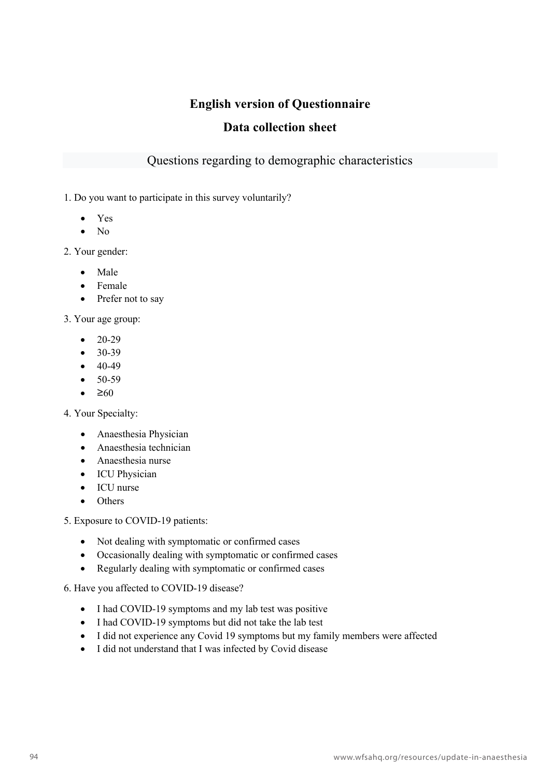# **English version of Questionnaire**

## **Data collection sheet**

## Questions regarding to demographic characteristics

1. Do you want to participate in this survey voluntarily?

- Yes
- $\bullet$  No

2. Your gender:

- Male
- Female
- Prefer not to say

3. Your age group:

- $20-29$
- 30-39
- $40-49$
- 50-59
- $\bullet$   $\geq 60$

4. Your Specialty:

- Anaesthesia Physician
- Anaesthesia technician
- Anaesthesia nurse
- ICU Physician
- ICU nurse
- Others

5. Exposure to COVID-19 patients:

- Not dealing with symptomatic or confirmed cases
- Occasionally dealing with symptomatic or confirmed cases
- Regularly dealing with symptomatic or confirmed cases

6. Have you affected to COVID-19 disease?

- I had COVID-19 symptoms and my lab test was positive
- I had COVID-19 symptoms but did not take the lab test
- I did not experience any Covid 19 symptoms but my family members were affected
- I did not understand that I was infected by Covid disease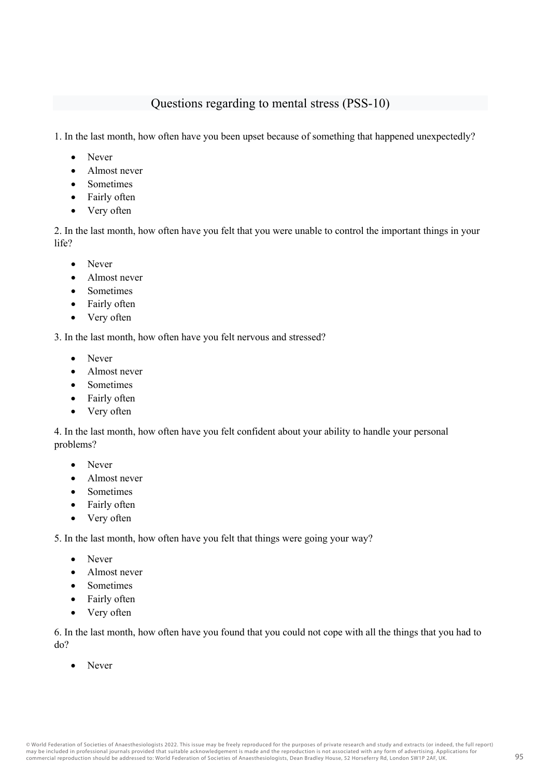## Questions regarding to mental stress (PSS-10)

1. In the last month, how often have you been upset because of something that happened unexpectedly?

- Never
- Almost never
- Sometimes
- Fairly often
- Very often

2. In the last month, how often have you felt that you were unable to control the important things in your life?

- Never
- Almost never
- Sometimes
- Fairly often
- Very often

3. In the last month, how often have you felt nervous and stressed?

- Never
- Almost never
- Sometimes
- Fairly often
- Very often

4. In the last month, how often have you felt confident about your ability to handle your personal problems?

- Never
- Almost never
- Sometimes
- Fairly often
- Very often

5. In the last month, how often have you felt that things were going your way?

- Never
- Almost never
- Sometimes
- Fairly often
- Very often

6. In the last month, how often have you found that you could not cope with all the things that you had to do?

• Never